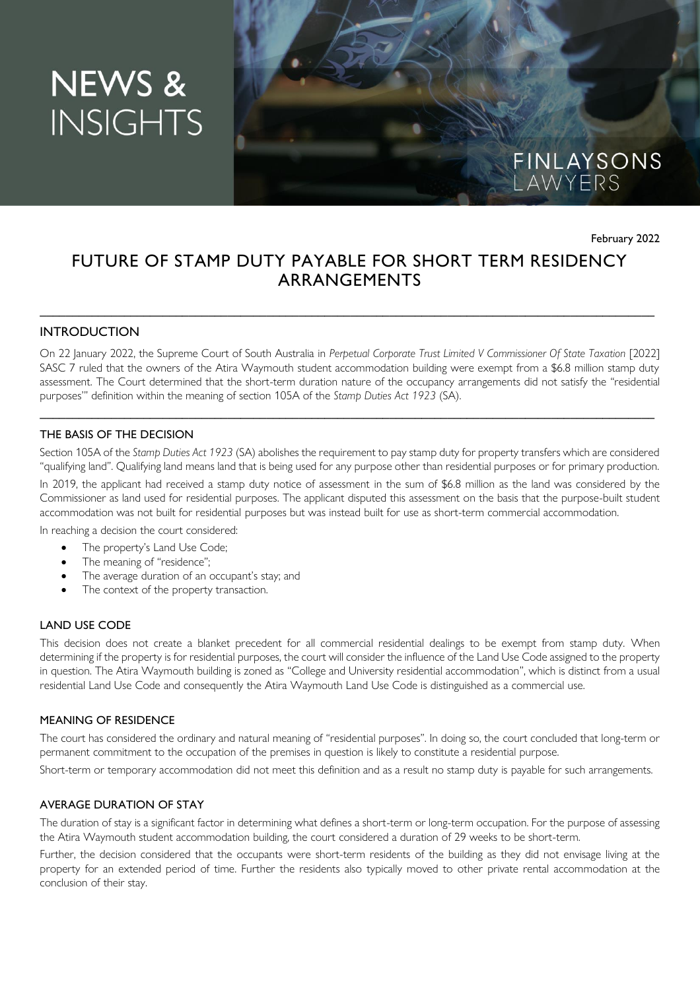# **NEWS & INSIGHTS**



February 2022

# FUTURE OF STAMP DUTY PAYABLE FOR SHORT TERM RESIDENCY ARRANGEMENTS

\_\_\_\_\_\_\_\_\_\_\_\_\_\_\_\_\_\_\_\_\_\_\_\_\_\_\_\_\_\_\_\_\_\_\_\_\_\_\_\_\_\_\_\_\_\_\_\_\_\_\_\_\_\_\_\_\_\_\_\_\_\_\_\_\_\_\_\_\_\_\_\_\_\_\_\_\_\_\_\_\_\_\_\_\_\_\_\_\_\_\_\_\_\_\_

# **INTRODUCTION**

On 22 January 2022, the Supreme Court of South Australia in Perpetual Corporate Trust Limited V Commissioner Of State Taxation [2022] SASC 7 ruled that the owners of the Atira Waymouth student accommodation building were exempt from a \$6.8 million stamp duty assessment. The Court determined that the short-term duration nature of the occupancy arrangements did not satisfy the "residential purposes'" definition within the meaning of section 105A of the *Stamp Duties Act 1923* (SA).

\_\_\_\_\_\_\_\_\_\_\_\_\_\_\_\_\_\_\_\_\_\_\_\_\_\_\_\_\_\_\_\_\_\_\_\_\_\_\_\_\_\_\_\_\_\_\_\_\_\_\_\_\_\_\_\_\_\_\_\_\_\_\_\_\_\_\_\_\_\_\_\_\_\_\_\_\_\_\_\_\_\_\_\_\_\_\_\_\_\_\_\_\_\_\_

#### THE BASIS OF THE DECISION

Section 105A of the *Stamp Duties Act 1923* (SA) abolishes the requirement to pay stamp duty for property transfers which are considered "qualifying land". Qualifying land means land that is being used for any purpose other than residential purposes or for primary production.

In 2019, the applicant had received a stamp duty notice of assessment in the sum of \$6.8 million as the land was considered by the Commissioner as land used for residential purposes. The applicant disputed this assessment on the basis that the purpose-built student accommodation was not built for residential purposes but was instead built for use as short-term commercial accommodation.

In reaching a decision the court considered:

- The property's Land Use Code;
- The meaning of "residence";
- The average duration of an occupant's stay; and
- The context of the property transaction.

#### LAND USE CODE

This decision does not create a blanket precedent for all commercial residential dealings to be exempt from stamp duty. When determining if the property is for residential purposes, the court will consider the influence of the Land Use Code assigned to the property in question. The Atira Waymouth building is zoned as "College and University residential accommodation", which is distinct from a usual residential Land Use Code and consequently the Atira Waymouth Land Use Code is distinguished as a commercial use.

#### MEANING OF RESIDENCE

The court has considered the ordinary and natural meaning of "residential purposes". In doing so, the court concluded that long-term or permanent commitment to the occupation of the premises in question is likely to constitute a residential purpose.

Short-term or temporary accommodation did not meet this definition and as a result no stamp duty is payable for such arrangements.

#### AVERAGE DURATION OF STAY

The duration of stay is a significant factor in determining what defines a short-term or long-term occupation. For the purpose of assessing the Atira Waymouth student accommodation building, the court considered a duration of 29 weeks to be short-term.

Further, the decision considered that the occupants were short-term residents of the building as they did not envisage living at the property for an extended period of time. Further the residents also typically moved to other private rental accommodation at the conclusion of their stay.